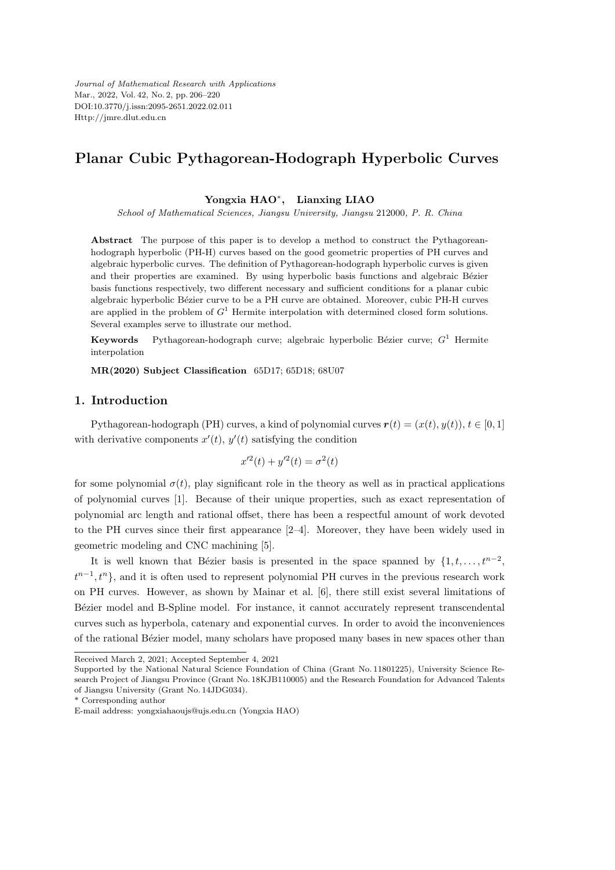*Journal of Mathematical Research with Applications* Mar., 2022, Vol. 42, No. 2, pp. 206–220 DOI:10.3770/j.issn:2095-2651.2022.02.011 Http://jmre.dlut.edu.cn

# **Planar Cubic Pythagorean-Hodograph Hyperbolic Curves**

**Yongxia HAO***<sup>∗</sup>* **, Lianxing LIAO**

*School of Mathematical Sciences, Jiangsu University, Jiangsu* 212000*, P. R. China*

**Abstract** The purpose of this paper is to develop a method to construct the Pythagoreanhodograph hyperbolic (PH-H) curves based on the good geometric properties of PH curves and algebraic hyperbolic curves. The definition of Pythagorean-hodograph hyperbolic curves is given and their properties are examined. By using hyperbolic basis functions and algebraic Bézier basis functions respectively, two different necessary and sufficient conditions for a planar cubic algebraic hyperbolic Bézier curve to be a PH curve are obtained. Moreover, cubic PH-H curves are applied in the problem of *G* <sup>1</sup> Hermite interpolation with determined closed form solutions. Several examples serve to illustrate our method.

**Keywords** Pythagorean-hodograph curve; algebraic hyperbolic Bézier curve;  $G^1$  Hermite interpolation

**MR(2020) Subject Classification** 65D17; 65D18; 68U07

## **1. Introduction**

Pythagorean-hodograph (PH) curves, a kind of polynomial curves  $\mathbf{r}(t) = (x(t), y(t)), t \in [0, 1]$ with derivative components  $x'(t)$ ,  $y'(t)$  satisfying the condition

$$
x'^2(t) + y'^2(t) = \sigma^2(t)
$$

for some polynomial  $\sigma(t)$ , play significant role in the theory as well as in practical applications of polynomial curves [1]. Because of their unique properties, such as exact representation of polynomial arc length and rational offset, there has been a respectful amount of work devoted to the PH curves since their first appearance [2–4]. Moreover, they have been widely used in geometric modeling and CNC machining [5].

It is well known that Bézier basis is presented in the space spanned by  $\{1, t, \ldots, t^{n-2},\}$  $t^{n-1}, t^n$ }, and it is often used to represent polynomial PH curves in the previous research work on PH curves. However, as shown by Mainar et al. [6], there still exist several limitations of Bézier model and B-Spline model. For instance, it cannot accurately represent transcendental curves such as hyperbola, catenary and exponential curves. In order to avoid the inconveniences of the rational Bézier model, many scholars have proposed many bases in new spaces other than

Received March 2, 2021; Accepted September 4, 2021

Supported by the National Natural Science Foundation of China (Grant No. 11801225), University Science Research Project of Jiangsu Province (Grant No. 18KJB110005) and the Research Foundation for Advanced Talents of Jiangsu University (Grant No. 14JDG034).

<sup>\*</sup> Corresponding author

E-mail address: yongxiahaoujs@ujs.edu.cn (Yongxia HAO)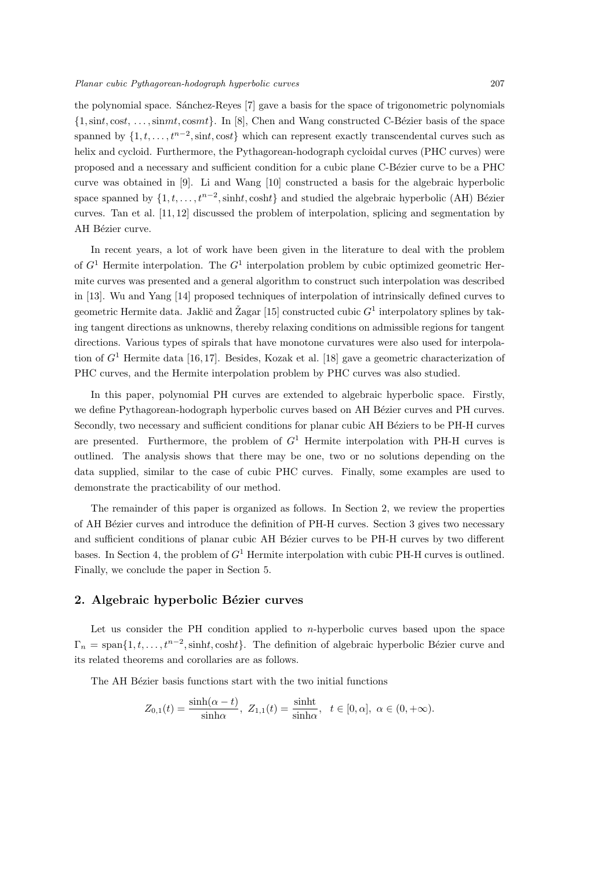the polynomial space. Sánchez-Reyes [7] gave a basis for the space of trigonometric polynomials *{*1*,*sin*t,* cos*t*, *. . . ,*sin*mt,* cos*mt}*. In [8], Chen and Wang constructed C-B´ezier basis of the space spanned by  $\{1, t, \ldots, t^{n-2}, \text{sin}t, \text{cost}\}\$  which can represent exactly transcendental curves such as helix and cycloid. Furthermore, the Pythagorean-hodograph cycloidal curves (PHC curves) were proposed and a necessary and sufficient condition for a cubic plane C-Bézier curve to be a PHC curve was obtained in [9]. Li and Wang [10] constructed a basis for the algebraic hyperbolic space spanned by  $\{1, t, \ldots, t^{n-2}, \text{sinht}, \text{cosh}t\}$  and studied the algebraic hyperbolic (AH) Bézier curves. Tan et al. [11, 12] discussed the problem of interpolation, splicing and segmentation by AH Bézier curve.

In recent years, a lot of work have been given in the literature to deal with the problem of  $G<sup>1</sup>$  Hermite interpolation. The  $G<sup>1</sup>$  interpolation problem by cubic optimized geometric Hermite curves was presented and a general algorithm to construct such interpolation was described in [13]. Wu and Yang [14] proposed techniques of interpolation of intrinsically defined curves to geometric Hermite data. Jaklič and Žagar [15] constructed cubic  $G<sup>1</sup>$  interpolatory splines by taking tangent directions as unknowns, thereby relaxing conditions on admissible regions for tangent directions. Various types of spirals that have monotone curvatures were also used for interpolation of *G*<sup>1</sup> Hermite data [16, 17]. Besides, Kozak et al. [18] gave a geometric characterization of PHC curves, and the Hermite interpolation problem by PHC curves was also studied.

In this paper, polynomial PH curves are extended to algebraic hyperbolic space. Firstly, we define Pythagorean-hodograph hyperbolic curves based on AH Bézier curves and PH curves. Secondly, two necessary and sufficient conditions for planar cubic AH Béziers to be PH-H curves are presented. Furthermore, the problem of *G*<sup>1</sup> Hermite interpolation with PH-H curves is outlined. The analysis shows that there may be one, two or no solutions depending on the data supplied, similar to the case of cubic PHC curves. Finally, some examples are used to demonstrate the practicability of our method.

The remainder of this paper is organized as follows. In Section 2, we review the properties of AH Bézier curves and introduce the definition of PH-H curves. Section 3 gives two necessary and sufficient conditions of planar cubic AH Bézier curves to be PH-H curves by two different bases. In Section 4, the problem of *G*<sup>1</sup> Hermite interpolation with cubic PH-H curves is outlined. Finally, we conclude the paper in Section 5.

### 2. Algebraic hyperbolic Bézier curves

Let us consider the PH condition applied to *n*-hyperbolic curves based upon the space  $\Gamma_n = \text{span}\{1, t, \ldots, t^{n-2}, \text{sinht}, \text{cosh}t\}.$  The definition of algebraic hyperbolic Bézier curve and its related theorems and corollaries are as follows.

The AH Bézier basis functions start with the two initial functions

$$
Z_{0,1}(t) = \frac{\sinh(\alpha - t)}{\sinh \alpha}, \ Z_{1,1}(t) = \frac{\sinh t}{\sinh \alpha}, \quad t \in [0, \alpha], \ \alpha \in (0, +\infty).
$$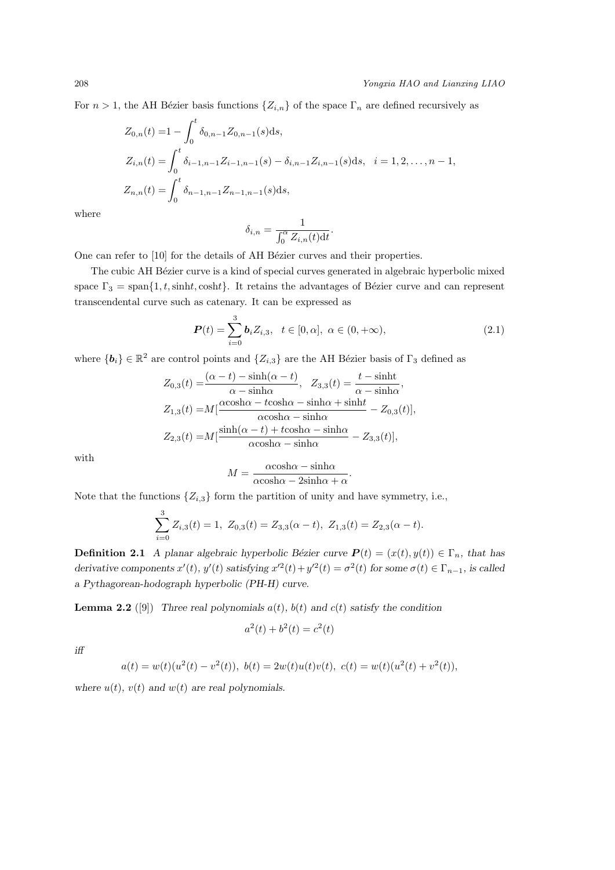For  $n > 1$ , the AH Bézier basis functions  $\{Z_{i,n}\}$  of the space  $\Gamma_n$  are defined recursively as

$$
Z_{0,n}(t) = 1 - \int_0^t \delta_{0,n-1} Z_{0,n-1}(s) ds,
$$
  
\n
$$
Z_{i,n}(t) = \int_0^t \delta_{i-1,n-1} Z_{i-1,n-1}(s) - \delta_{i,n-1} Z_{i,n-1}(s) ds, \quad i = 1, 2, ..., n-1,
$$
  
\n
$$
Z_{n,n}(t) = \int_0^t \delta_{n-1,n-1} Z_{n-1,n-1}(s) ds,
$$

where

$$
\delta_{i,n} = \frac{1}{\int_0^\alpha Z_{i,n}(t)dt}.
$$

One can refer to [10] for the details of AH Bézier curves and their properties.

The cubic AH Bézier curve is a kind of special curves generated in algebraic hyperbolic mixed space  $\Gamma_3 = \text{span}\{1, t, \text{sinht}, \text{cosh}t\}$ . It retains the advantages of Bézier curve and can represent transcendental curve such as catenary. It can be expressed as

$$
\boldsymbol{P}(t) = \sum_{i=0}^{3} \boldsymbol{b}_{i} Z_{i,3}, \quad t \in [0, \alpha], \ \alpha \in (0, +\infty), \tag{2.1}
$$

where  ${\bf \{b_i\}} \in \mathbb{R}^2$  are control points and  ${Z_{i,3}}$  are the AH Bézier basis of  $\Gamma_3$  defined as

$$
Z_{0,3}(t) = \frac{(\alpha - t) - \sinh(\alpha - t)}{\alpha - \sinh \alpha}, \quad Z_{3,3}(t) = \frac{t - \sinh t}{\alpha - \sinh \alpha},
$$
  
\n
$$
Z_{1,3}(t) = M[\frac{\alpha \cosh \alpha - t \cosh \alpha - \sinh \alpha + \sinh t}{\alpha \cosh \alpha - \sinh \alpha} - Z_{0,3}(t)],
$$
  
\n
$$
Z_{2,3}(t) = M[\frac{\sinh(\alpha - t) + t \cosh \alpha - \sinh \alpha}{\alpha \cosh \alpha - \sinh \alpha} - Z_{3,3}(t)],
$$

with

$$
M = \frac{\alpha \cosh \alpha - \sinh \alpha}{\alpha \cosh \alpha - 2 \sinh \alpha + \alpha}.
$$

Note that the functions  $\{Z_{i,3}\}$  form the partition of unity and have symmetry, i.e.,

$$
\sum_{i=0}^{3} Z_{i,3}(t) = 1, Z_{0,3}(t) = Z_{3,3}(\alpha - t), Z_{1,3}(t) = Z_{2,3}(\alpha - t).
$$

**Definition 2.1** *A planar algebraic hyperbolic Bézier curve*  $P(t) = (x(t), y(t)) \in \Gamma_n$ , that has derivative components  $x'(t)$ ,  $y'(t)$  satisfying  $x'^2(t) + y'^2(t) = \sigma^2(t)$  for some  $\sigma(t) \in \Gamma_{n-1}$ , is called *a Pythagorean-hodograph hyperbolic (PH-H) curve.*

**Lemma 2.2** ([9]) *Three real polynomials*  $a(t)$ *, b(t)* and  $c(t)$  *satisfy the condition* 

$$
a^2(t) + b^2(t) = c^2(t)
$$

*iff*

$$
a(t) = w(t)(u^{2}(t) - v^{2}(t)), \ b(t) = 2w(t)u(t)v(t), \ c(t) = w(t)(u^{2}(t) + v^{2}(t)),
$$

where  $u(t)$ ,  $v(t)$  and  $w(t)$  are real polynomials.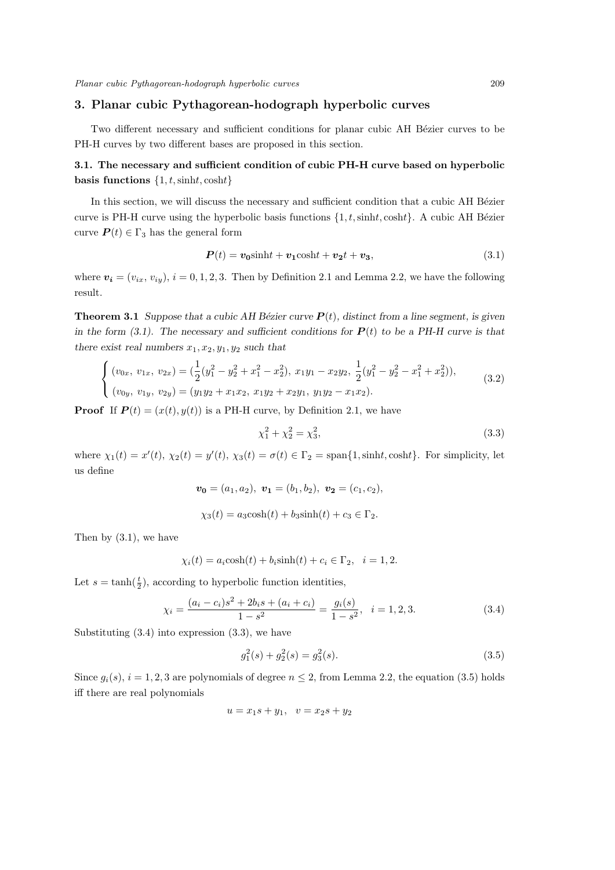### **3. Planar cubic Pythagorean-hodograph hyperbolic curves**

Two different necessary and sufficient conditions for planar cubic AH Bézier curves to be PH-H curves by two different bases are proposed in this section.

## **3.1. The necessary and sufficient condition of cubic PH-H curve based on hyperbolic basis functions** *{*1*, t,*sinh*t,* cosh*t}*

In this section, we will discuss the necessary and sufficient condition that a cubic AH Bézier curve is PH-H curve using the hyperbolic basis functions  $\{1, t, \text{sinht}, \text{cosh}t\}$ . A cubic AH Bézier curve  $P(t) \in \Gamma_3$  has the general form

$$
P(t) = v_0 \sinh t + v_1 \cosh t + v_2 t + v_3,
$$
\n(3.1)

where  $v_i = (v_{i_x}, v_{i_y}), i = 0, 1, 2, 3$ . Then by Definition 2.1 and Lemma 2.2, we have the following result.

**Theorem 3.1** *Suppose that a cubic AH Bézier curve*  $P(t)$ *, distinct from a line segment, is given in the form (3.1). The necessary and sufficient conditions for*  $P(t)$  *to be a PH-H curve is that there exist real numbers*  $x_1, x_2, y_1, y_2$  *such that* 

$$
\begin{cases}\n(v_{0x}, v_{1x}, v_{2x}) = (\frac{1}{2}(y_1^2 - y_2^2 + x_1^2 - x_2^2), x_1y_1 - x_2y_2, \frac{1}{2}(y_1^2 - y_2^2 - x_1^2 + x_2^2)),\\ (v_{0y}, v_{1y}, v_{2y}) = (y_1y_2 + x_1x_2, x_1y_2 + x_2y_1, y_1y_2 - x_1x_2).\n\end{cases}
$$
\n(3.2)

**Proof** If  $P(t) = (x(t), y(t))$  is a PH-H curve, by Definition 2.1, we have

$$
\chi_1^2 + \chi_2^2 = \chi_3^2,\tag{3.3}
$$

where  $\chi_1(t) = x'(t)$ ,  $\chi_2(t) = y'(t)$ ,  $\chi_3(t) = \sigma(t) \in \Gamma_2 = \text{span}\{1, \text{sinht}, \text{cosh}t\}$ . For simplicity, let us define

$$
\mathbf{v_0} = (a_1, a_2), \ \mathbf{v_1} = (b_1, b_2), \ \mathbf{v_2} = (c_1, c_2),
$$

$$
\chi_3(t) = a_3 \cosh(t) + b_3 \sinh(t) + c_3 \in \Gamma_2.
$$

Then by  $(3.1)$ , we have

$$
\chi_i(t) = a_i \cosh(t) + b_i \sinh(t) + c_i \in \Gamma_2, \quad i = 1, 2.
$$

Let  $s = \tanh(\frac{t}{2})$ , according to hyperbolic function identities,

$$
\chi_i = \frac{(a_i - c_i)s^2 + 2b_is + (a_i + c_i)}{1 - s^2} = \frac{g_i(s)}{1 - s^2}, \quad i = 1, 2, 3.
$$
\n(3.4)

Substituting  $(3.4)$  into expression  $(3.3)$ , we have

$$
g_1^2(s) + g_2^2(s) = g_3^2(s).
$$
\n(3.5)

Since  $g_i(s)$ ,  $i = 1, 2, 3$  are polynomials of degree  $n \leq 2$ , from Lemma 2.2, the equation (3.5) holds iff there are real polynomials

$$
u = x_1 s + y_1, \ \ v = x_2 s + y_2
$$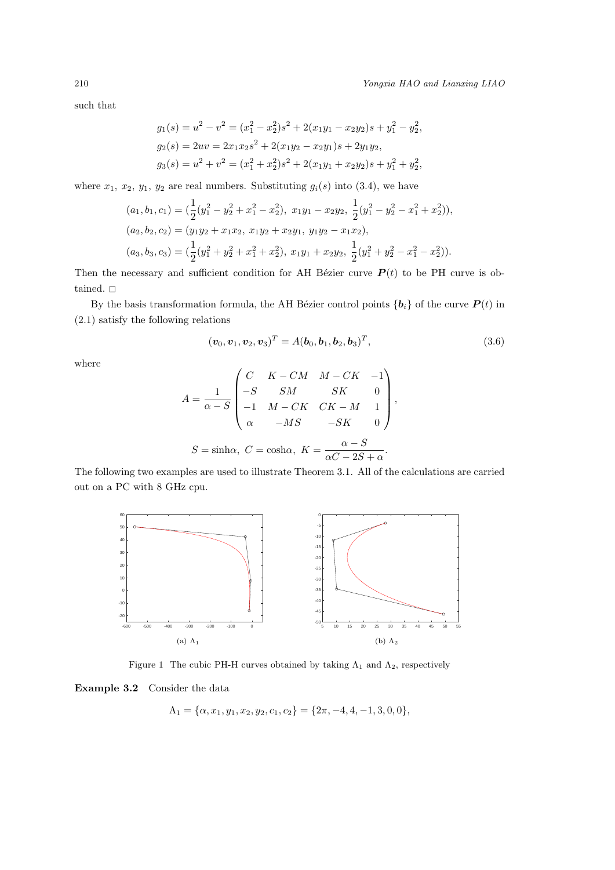such that

$$
g_1(s) = u^2 - v^2 = (x_1^2 - x_2^2)s^2 + 2(x_1y_1 - x_2y_2)s + y_1^2 - y_2^2,
$$
  
\n
$$
g_2(s) = 2uv = 2x_1x_2s^2 + 2(x_1y_2 - x_2y_1)s + 2y_1y_2,
$$
  
\n
$$
g_3(s) = u^2 + v^2 = (x_1^2 + x_2^2)s^2 + 2(x_1y_1 + x_2y_2)s + y_1^2 + y_2^2,
$$

where  $x_1, x_2, y_1, y_2$  are real numbers. Substituting  $g_i(s)$  into (3.4), we have

$$
(a_1, b_1, c_1) = \left(\frac{1}{2}(y_1^2 - y_2^2 + x_1^2 - x_2^2), x_1y_1 - x_2y_2, \frac{1}{2}(y_1^2 - y_2^2 - x_1^2 + x_2^2)\right),
$$
  
\n
$$
(a_2, b_2, c_2) = (y_1y_2 + x_1x_2, x_1y_2 + x_2y_1, y_1y_2 - x_1x_2),
$$
  
\n
$$
(a_3, b_3, c_3) = \left(\frac{1}{2}(y_1^2 + y_2^2 + x_1^2 + x_2^2), x_1y_1 + x_2y_2, \frac{1}{2}(y_1^2 + y_2^2 - x_1^2 - x_2^2)\right).
$$

Then the necessary and sufficient condition for AH Bézier curve  $P(t)$  to be PH curve is obtained.  $\Box$ 

By the basis transformation formula, the AH Bézier control points  $\{b_i\}$  of the curve  $P(t)$  in (2.1) satisfy the following relations

$$
(\boldsymbol{v}_0, \boldsymbol{v}_1, \boldsymbol{v}_2, \boldsymbol{v}_3)^T = A(\boldsymbol{b}_0, \boldsymbol{b}_1, \boldsymbol{b}_2, \boldsymbol{b}_3)^T, \tag{3.6}
$$

where

$$
A = \frac{1}{\alpha - S} \begin{pmatrix} C & K - CM & M - CK & -1 \\ -S & SM & SK & 0 \\ -1 & M - CK & CK - M & 1 \\ \alpha & -MS & -SK & 0 \end{pmatrix},
$$

$$
S = \sinh \alpha, C = \cosh \alpha, K = \frac{\alpha - S}{\alpha C - 2S + \alpha}.
$$

The following two examples are used to illustrate Theorem 3.1. All of the calculations are carried out on a PC with 8 GHz cpu.



Figure 1 The cubic PH-H curves obtained by taking  $\Lambda_1$  and  $\Lambda_2$ , respectively

**Example 3.2** Consider the data

$$
\Lambda_1 = \{ \alpha, x_1, y_1, x_2, y_2, c_1, c_2 \} = \{ 2\pi, -4, 4, -1, 3, 0, 0 \},
$$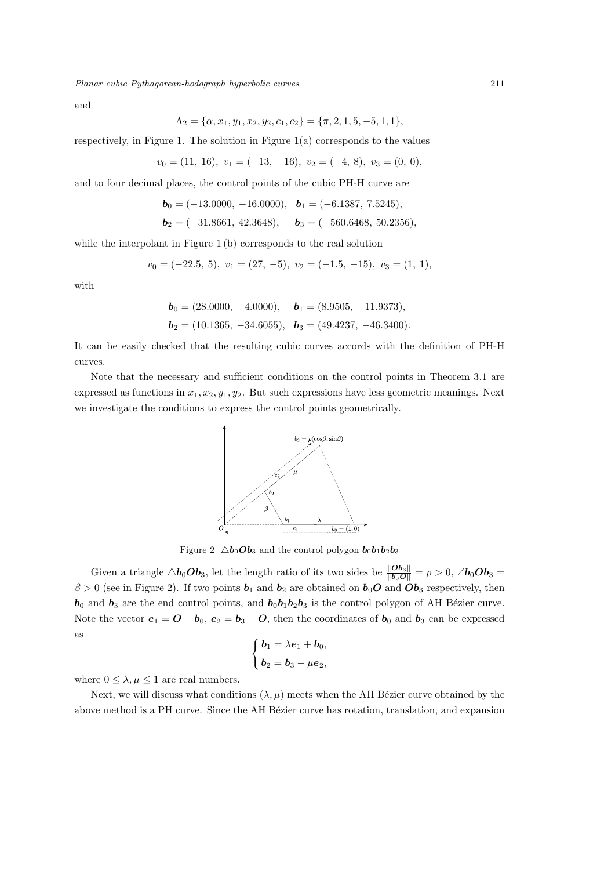*Planar cubic Pythagorean-hodograph hyperbolic curves* 211

and

 $\Lambda_2 = {\alpha, x_1, y_1, x_2, y_2, c_1, c_2} = {\pi, 2, 1, 5, -5, 1, 1}$ 

respectively, in Figure 1. The solution in Figure  $1(a)$  corresponds to the values

$$
v_0 = (11, 16), v_1 = (-13, -16), v_2 = (-4, 8), v_3 = (0, 0),
$$

and to four decimal places, the control points of the cubic PH-H curve are

$$
\mathbf{b}_0 = (-13.0000, -16.0000), \quad \mathbf{b}_1 = (-6.1387, 7.5245),
$$
  
\n $\mathbf{b}_2 = (-31.8661, 42.3648), \quad \mathbf{b}_3 = (-560.6468, 50.2356),$ 

while the interpolant in Figure 1 (b) corresponds to the real solution

$$
v_0 = (-22.5, 5), v_1 = (27, -5), v_2 = (-1.5, -15), v_3 = (1, 1),
$$

with

$$
\mathbf{b}_0 = (28.0000, -4.0000), \quad \mathbf{b}_1 = (8.9505, -11.9373),
$$
  

$$
\mathbf{b}_2 = (10.1365, -34.6055), \quad \mathbf{b}_3 = (49.4237, -46.3400).
$$

It can be easily checked that the resulting cubic curves accords with the definition of PH-H curves.

Note that the necessary and sufficient conditions on the control points in Theorem 3.1 are expressed as functions in *x*1*, x*2*, y*1*, y*2. But such expressions have less geometric meanings. Next we investigate the conditions to express the control points geometrically.



Figure 2  $\Delta b_0 \Omega b_3$  and the control polygon  $b_0 b_1 b_2 b_3$ 

Given a triangle  $\triangle b_0Ob_3$ , let the length ratio of its two sides be  $\frac{\|Ob_3\|}{\|b_0O\|} = \rho > 0$ , ∠ $b_0Ob_3 =$  $\beta > 0$  (see in Figure 2). If two points  $\mathbf{b}_1$  and  $\mathbf{b}_2$  are obtained on  $\mathbf{b}_0$  and  $\mathbf{b}_3$  respectively, then  **and**  $**b**<sub>3</sub>$  **are the end control points, and**  $**b**<sub>0</sub>**b**<sub>1</sub>**b**<sub>2</sub>**b**<sub>3</sub>$  **is the control polygon of AH Bézier curve.** Note the vector  $e_1 = 0 - b_0$ ,  $e_2 = b_3 - 0$ , then the coordinates of  $b_0$  and  $b_3$  can be expressed as

$$
\begin{cases} \mathbf{b}_1 = \lambda \mathbf{e}_1 + \mathbf{b}_0, \\ \mathbf{b}_2 = \mathbf{b}_3 - \mu \mathbf{e}_2, \end{cases}
$$

where  $0 \leq \lambda, \mu \leq 1$  are real numbers.

Next, we will discuss what conditions  $(\lambda, \mu)$  meets when the AH Bézier curve obtained by the above method is a PH curve. Since the AH Bézier curve has rotation, translation, and expansion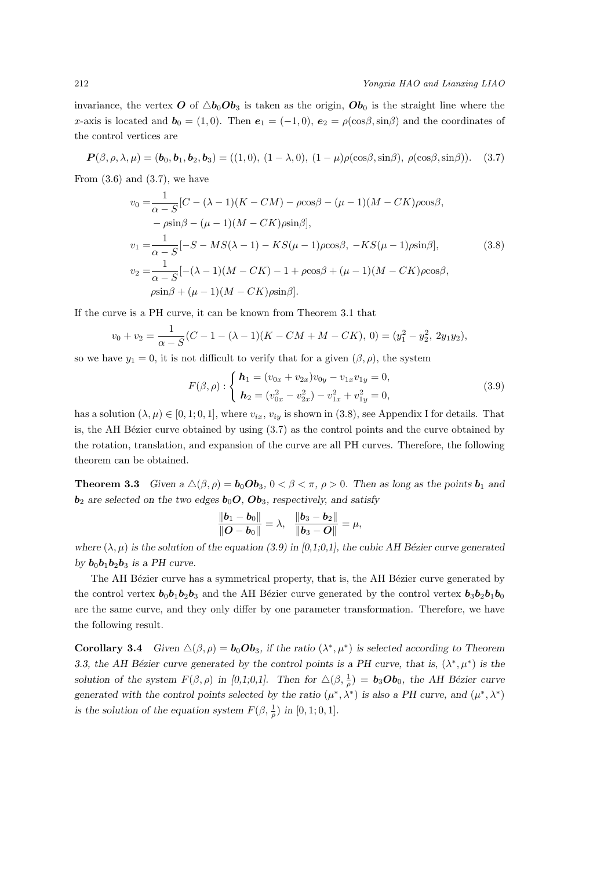#### 212 *Yongxia HAO and Lianxing LIAO*

invariance, the vertex  $\boldsymbol{O}$  of  $\Delta b_0 \boldsymbol{O} b_3$  is taken as the origin,  $\boldsymbol{O} b_0$  is the straight line where the *x*-axis is located and  $\mathbf{b}_0 = (1,0)$ . Then  $\mathbf{e}_1 = (-1,0)$ ,  $\mathbf{e}_2 = \rho(\cos\beta, \sin\beta)$  and the coordinates of the control vertices are

$$
\boldsymbol{P}(\beta,\rho,\lambda,\mu) = (\boldsymbol{b}_0,\boldsymbol{b}_1,\boldsymbol{b}_2,\boldsymbol{b}_3) = ((1,0), (1-\lambda,0), (1-\mu)\rho(\cos\beta,\sin\beta), \rho(\cos\beta,\sin\beta)).
$$
 (3.7)

From  $(3.6)$  and  $(3.7)$ , we have

$$
v_0 = \frac{1}{\alpha - S} [C - (\lambda - 1)(K - CM) - \rho \cos \beta - (\mu - 1)(M - CK)\rho \cos \beta, - \rho \sin \beta - (\mu - 1)(M - CK)\rho \sin \beta],
$$
  
\n
$$
v_1 = \frac{1}{\alpha - S} [-S - MS(\lambda - 1) - KS(\mu - 1)\rho \cos \beta, - KS(\mu - 1)\rho \sin \beta],
$$
  
\n
$$
v_2 = \frac{1}{\alpha - S} [-(\lambda - 1)(M - CK) - 1 + \rho \cos \beta + (\mu - 1)(M - CK)\rho \cos \beta, \n\rho \sin \beta + (\mu - 1)(M - CK)\rho \sin \beta].
$$
\n(3.8)

If the curve is a PH curve, it can be known from Theorem 3.1 that

$$
v_0 + v_2 = \frac{1}{\alpha - S}(C - 1 - (\lambda - 1)(K - CM + M - CK), 0) = (y_1^2 - y_2^2, 2y_1y_2),
$$

so we have  $y_1 = 0$ , it is not difficult to verify that for a given  $(\beta, \rho)$ , the system

$$
F(\beta, \rho) : \begin{cases} \mathbf{h}_1 = (v_{0x} + v_{2x})v_{0y} - v_{1x}v_{1y} = 0, \\ \mathbf{h}_2 = (v_{0x}^2 - v_{2x}^2) - v_{1x}^2 + v_{1y}^2 = 0, \end{cases}
$$
(3.9)

has a solution  $(\lambda, \mu) \in [0, 1, 0, 1]$ , where  $v_{ix}, v_{iy}$  is shown in (3.8), see Appendix I for details. That is, the AH Bézier curve obtained by using  $(3.7)$  as the control points and the curve obtained by the rotation, translation, and expansion of the curve are all PH curves. Therefore, the following theorem can be obtained.

**Theorem 3.3** *Given a*  $\Delta(\beta, \rho) = \mathbf{b}_0 \mathbf{Ob}_3$ ,  $0 < \beta < \pi$ ,  $\rho > 0$ . Then as long as the points  $\mathbf{b}_1$  and *are selected on the two edges* $**b**<sub>0</sub>*O*<sub>0</sub>*O*<sub>0</sub>*b*<sub>3</sub>*, respectively, and satisfy*$ 

$$
\frac{\|\bm{b}_1-\bm{b}_0\|}{\|\bm{O}-\bm{b}_0\|}=\lambda, \quad \frac{\|\bm{b}_3-\bm{b}_2\|}{\|\bm{b}_3-\bm{O}\|}=\mu,
$$

*where*  $(\lambda, \mu)$  *is the solution of the equation (3.9) in [0,1;0,1], the cubic AH Bézier curve generated by*  $\mathbf{b}_0 \mathbf{b}_1 \mathbf{b}_2 \mathbf{b}_3$  *is a PH curve.* 

The AH Bézier curve has a symmetrical property, that is, the AH Bézier curve generated by the control vertex  $b_0b_1b_2b_3$  and the AH Bézier curve generated by the control vertex  $b_3b_2b_1b_0$ are the same curve, and they only differ by one parameter transformation. Therefore, we have the following result.

**Corollary 3.4** *Given*  $\Delta(\beta, \rho) = \mathbf{b}_0 \mathbf{Ob}_3$ , if the ratio  $(\lambda^*, \mu^*)$  is selected according to Theorem *3.3, the AH Bézier curve generated by the control points is a PH curve, that is,*  $(\lambda^*, \mu^*)$  is the *solution of the system*  $F(\beta, \rho)$  *in* [0,1;0,1]. Then for  $\Delta(\beta, \frac{1}{\rho}) = \mathbf{b}_3 \mathbf{Ob}_0$ , the AH Bézier curve *generated with the control points selected by the ratio*  $(\mu^*, \lambda^*)$  *is also a PH curve, and*  $(\mu^*, \lambda^*)$ *is the solution of the equation system*  $F(\beta, \frac{1}{\rho})$  *in* [0, 1; 0, 1]*.*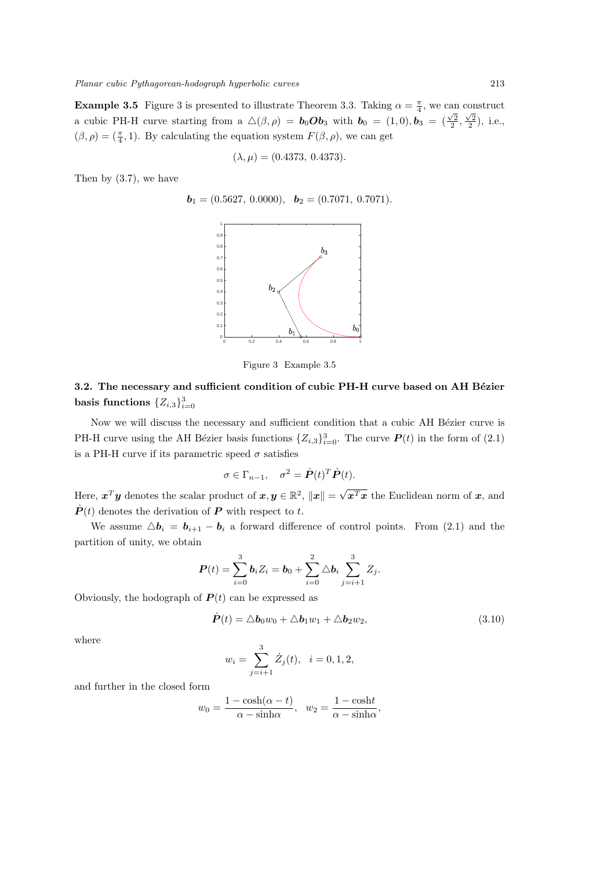**Example 3.5** Figure 3 is presented to illustrate Theorem 3.3. Taking  $\alpha = \frac{\pi}{4}$ , we can construct a cubic PH-H curve starting from a  $\Delta(\beta, \rho) = \mathbf{b}_0 \mathbf{Ob}_3$  with  $\mathbf{b}_0 = (1, 0), \mathbf{b}_3 = (\frac{\sqrt{2}}{2}, \frac{\sqrt{2}}{2}), \text{ i.e.,}$  $(\beta, \rho) = (\frac{\pi}{4}, 1)$ . By calculating the equation system  $F(\beta, \rho)$ , we can get

$$
(\lambda, \mu) = (0.4373, 0.4373).
$$

Then by (3.7), we have

$$
\boldsymbol{b}_1 = (0.5627, 0.0000), \ \boldsymbol{b}_2 = (0.7071, 0.7071).
$$



Figure 3 Example 3.5

# **3.2.** The necessary and sufficient condition of cubic PH-H curve based on AH Bézier **basis functions**  $\{Z_{i,3}\}_{i=0}^3$

Now we will discuss the necessary and sufficient condition that a cubic AH Bézier curve is PH-H curve using the AH Bézier basis functions  $\{Z_{i,3}\}_{i=0}^3$ . The curve  $P(t)$  in the form of (2.1) is a PH-H curve if its parametric speed  $\sigma$  satisfies

$$
\sigma \in \Gamma_{n-1}, \quad \sigma^2 = \dot{\boldsymbol{P}}(t)^T \dot{\boldsymbol{P}}(t).
$$

Here,  $\boldsymbol{x}^T \boldsymbol{y}$  denotes the scalar product of  $\boldsymbol{x}, \boldsymbol{y} \in \mathbb{R}^2$ ,  $\|\boldsymbol{x}\| =$ *√ x<sup>T</sup> x* the Euclidean norm of *x*, and  $\dot{P}(t)$  denotes the derivation of  $P$  with respect to  $t$ .

We assume  $\Delta \mathbf{b}_i = \mathbf{b}_{i+1} - \mathbf{b}_i$  a forward difference of control points. From (2.1) and the partition of unity, we obtain

$$
\boldsymbol{P}(t) = \sum_{i=0}^{3} \boldsymbol{b}_i Z_i = \boldsymbol{b}_0 + \sum_{i=0}^{2} \Delta \boldsymbol{b}_i \sum_{j=i+1}^{3} Z_j.
$$

Obviously, the hodograph of  $P(t)$  can be expressed as

$$
\dot{\boldsymbol{P}}(t) = \Delta \boldsymbol{b}_0 w_0 + \Delta \boldsymbol{b}_1 w_1 + \Delta \boldsymbol{b}_2 w_2, \qquad (3.10)
$$

where

$$
w_i = \sum_{j=i+1}^{3} \dot{Z}_j(t), \quad i = 0, 1, 2,
$$

and further in the closed form

$$
w_0 = \frac{1 - \cosh(\alpha - t)}{\alpha - \sinh \alpha}, \quad w_2 = \frac{1 - \cosh t}{\alpha - \sinh \alpha},
$$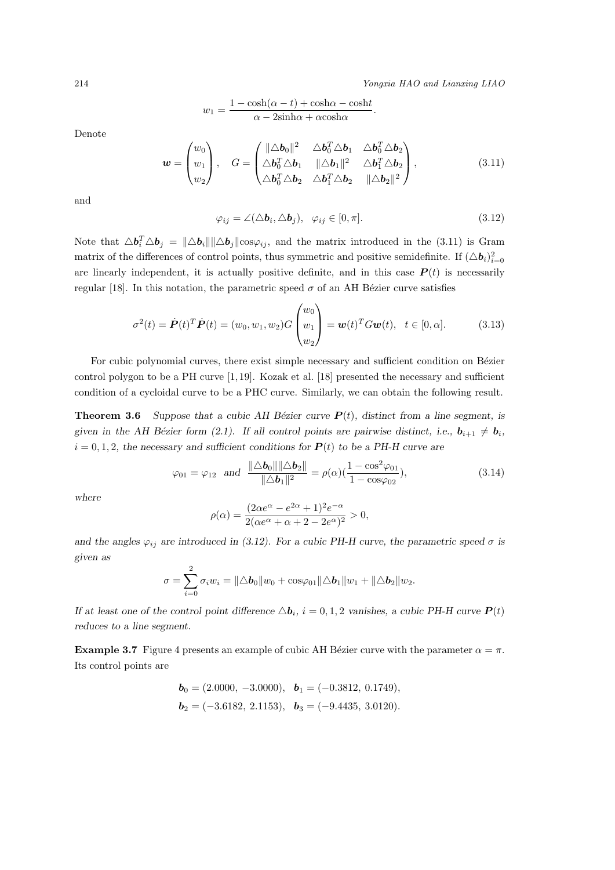214 *Yongxia HAO and Lianxing LIAO*

$$
w_1 = \frac{1 - \cosh(\alpha - t) + \cosh\alpha - \cosh t}{\alpha - 2\sinh\alpha + \alpha\cosh\alpha}
$$

Denote

$$
\mathbf{w} = \begin{pmatrix} w_0 \\ w_1 \\ w_2 \end{pmatrix}, \quad G = \begin{pmatrix} ||\Delta \mathbf{b}_0||^2 & \Delta \mathbf{b}_0^T \Delta \mathbf{b}_1 & \Delta \mathbf{b}_0^T \Delta \mathbf{b}_2 \\ \Delta \mathbf{b}_0^T \Delta \mathbf{b}_1 & ||\Delta \mathbf{b}_1||^2 & \Delta \mathbf{b}_1^T \Delta \mathbf{b}_2 \\ \Delta \mathbf{b}_0^T \Delta \mathbf{b}_2 & \Delta \mathbf{b}_1^T \Delta \mathbf{b}_2 & ||\Delta \mathbf{b}_2||^2 \end{pmatrix}, \tag{3.11}
$$

and

$$
\varphi_{ij} = \angle (\triangle \boldsymbol{b}_i, \triangle \boldsymbol{b}_j), \ \ \varphi_{ij} \in [0, \pi]. \tag{3.12}
$$

*.*

Note that  $\Delta \mathbf{b}_i^T \Delta \mathbf{b}_j = ||\Delta \mathbf{b}_i|| ||\Delta \mathbf{b}_j|| \cos \varphi_{ij}$ , and the matrix introduced in the (3.11) is Gram matrix of the differences of control points, thus symmetric and positive semidefinite. If  $(\Delta b_i)_{i=0}^2$ are linearly independent, it is actually positive definite, and in this case  $P(t)$  is necessarily regular [18]. In this notation, the parametric speed  $\sigma$  of an AH Bézier curve satisfies

$$
\sigma^{2}(t) = \dot{\boldsymbol{P}}(t)^{T} \dot{\boldsymbol{P}}(t) = (w_{0}, w_{1}, w_{2}) G \begin{pmatrix} w_{0} \\ w_{1} \\ w_{2} \end{pmatrix} = \boldsymbol{w}(t)^{T} G \boldsymbol{w}(t), \quad t \in [0, \alpha]. \tag{3.13}
$$

For cubic polynomial curves, there exist simple necessary and sufficient condition on Bézier control polygon to be a PH curve [1, 19]. Kozak et al. [18] presented the necessary and sufficient condition of a cycloidal curve to be a PHC curve. Similarly, we can obtain the following result.

**Theorem 3.6** *Suppose that a cubic AH Bézier curve*  $P(t)$ *, distinct from a line segment, is given in the AH Bézier form (2.1). If all control points are pairwise distinct, i.e.,*  $\mathbf{b}_{i+1} \neq \mathbf{b}_i$ *,*  $i = 0, 1, 2$ , the necessary and sufficient conditions for  $P(t)$  to be a PH-H curve are

$$
\varphi_{01} = \varphi_{12} \text{ and } \frac{\|\Delta b_0\| \|\Delta b_2\|}{\|\Delta b_1\|^2} = \rho(\alpha) \left(\frac{1 - \cos^2 \varphi_{01}}{1 - \cos \varphi_{02}}\right),\tag{3.14}
$$

*where*

$$
\rho(\alpha) = \frac{(2\alpha e^{\alpha} - e^{2\alpha} + 1)^2 e^{-\alpha}}{2(\alpha e^{\alpha} + \alpha + 2 - 2e^{\alpha})^2} > 0,
$$

and the angles  $\varphi_{ij}$  are introduced in (3.12). For a cubic PH-H curve, the parametric speed  $\sigma$  is *given as*

$$
\sigma = \sum_{i=0}^{2} \sigma_i w_i = ||\triangle b_0||w_0 + \cos\varphi_{01}||\triangle b_1||w_1 + ||\triangle b_2||w_2.
$$

*If at least one of the control point difference*  $\Delta \mathbf{b}_i$ ,  $i = 0, 1, 2$  *vanishes, a cubic PH-H curve*  $P(t)$ *reduces to a line segment.*

**Example 3.7** Figure 4 presents an example of cubic AH Bézier curve with the parameter  $\alpha = \pi$ . Its control points are

$$
\mathbf{b}_0 = (2.0000, -3.0000), \quad \mathbf{b}_1 = (-0.3812, 0.1749),
$$
  
\n $\mathbf{b}_2 = (-3.6182, 2.1153), \quad \mathbf{b}_3 = (-9.4435, 3.0120).$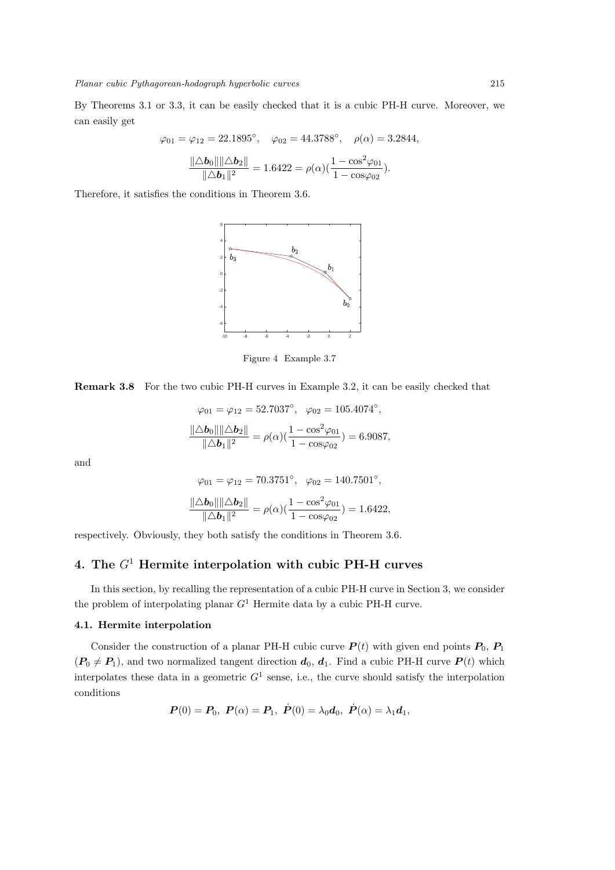By Theorems 3.1 or 3.3, it can be easily checked that it is a cubic PH-H curve. Moreover, we can easily get

$$
\varphi_{01} = \varphi_{12} = 22.1895^{\circ}, \quad \varphi_{02} = 44.3788^{\circ}, \quad \rho(\alpha) = 3.2844,
$$
  

$$
\frac{\|\Delta \mathbf{b}_0\| \|\Delta \mathbf{b}_2\|}{\|\Delta \mathbf{b}_1\|^2} = 1.6422 = \rho(\alpha)(\frac{1 - \cos^2 \varphi_{01}}{1 - \cos \varphi_{02}}).
$$

Therefore, it satisfies the conditions in Theorem 3.6.



Figure 4 Example 3.7

**Remark 3.8** For the two cubic PH-H curves in Example 3.2, it can be easily checked that

$$
\varphi_{01} = \varphi_{12} = 52.7037^{\circ}, \quad \varphi_{02} = 105.4074^{\circ},
$$

$$
\frac{\|\Delta \mathbf{b}_0\| \|\Delta \mathbf{b}_2\|}{\|\Delta \mathbf{b}_1\|^2} = \rho(\alpha) \left(\frac{1 - \cos^2 \varphi_{01}}{1 - \cos \varphi_{02}}\right) = 6.9087,
$$

and

$$
\varphi_{01} = \varphi_{12} = 70.3751^{\circ}, \quad \varphi_{02} = 140.7501^{\circ},
$$

$$
\frac{\|\Delta \boldsymbol{b}_0\| \|\Delta \boldsymbol{b}_2\|}{\|\Delta \boldsymbol{b}_1\|^2} = \rho(\alpha) (\frac{1 - \cos^2 \varphi_{01}}{1 - \cos \varphi_{02}}) = 1.6422,
$$

respectively. Obviously, they both satisfy the conditions in Theorem 3.6.

# **4. The** *G*<sup>1</sup> **Hermite interpolation with cubic PH-H curves**

In this section, by recalling the representation of a cubic PH-H curve in Section 3, we consider the problem of interpolating planar *G*<sup>1</sup> Hermite data by a cubic PH-H curve.

### **4.1. Hermite interpolation**

Consider the construction of a planar PH-H cubic curve  $P(t)$  with given end points  $P_0$ ,  $P_1$  $(P_0 \neq P_1)$ , and two normalized tangent direction  $d_0, d_1$ . Find a cubic PH-H curve  $P(t)$  which interpolates these data in a geometric  $G<sup>1</sup>$  sense, i.e., the curve should satisfy the interpolation conditions

$$
\bm{P}(0) = \bm{P}_0, \ \bm{P}(\alpha) = \bm{P}_1, \ \dot{\bm{P}}(0) = \lambda_0 \bm{d}_0, \ \dot{\bm{P}}(\alpha) = \lambda_1 \bm{d}_1,
$$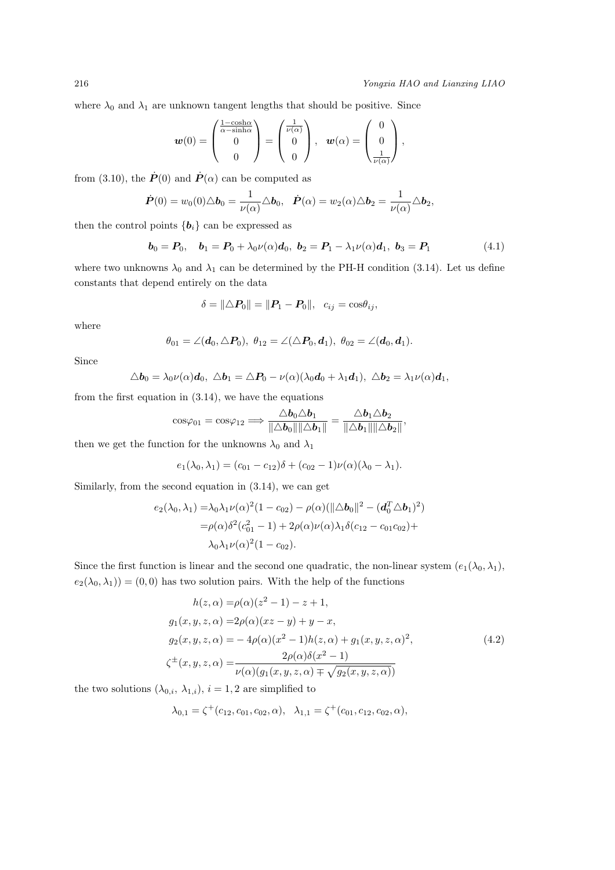where  $\lambda_0$  and  $\lambda_1$  are unknown tangent lengths that should be positive. Since

$$
\mathbf{w}(0) = \begin{pmatrix} \frac{1-\cosh\alpha}{\alpha-\sinh\alpha} \\ 0 \\ 0 \end{pmatrix} = \begin{pmatrix} \frac{1}{\nu(\alpha)} \\ 0 \\ 0 \end{pmatrix}, \quad \mathbf{w}(\alpha) = \begin{pmatrix} 0 \\ 0 \\ \frac{1}{\nu(\alpha)} \end{pmatrix},
$$

from (3.10), the  $\dot{P}(0)$  and  $\dot{P}(\alpha)$  can be computed as

$$
\dot{\boldsymbol{P}}(0) = w_0(0)\triangle \boldsymbol{b}_0 = \frac{1}{\nu(\alpha)} \triangle \boldsymbol{b}_0, \quad \dot{\boldsymbol{P}}(\alpha) = w_2(\alpha)\triangle \boldsymbol{b}_2 = \frac{1}{\nu(\alpha)} \triangle \boldsymbol{b}_2,
$$

then the control points  ${b_i}$  can be expressed as

$$
\boldsymbol{b}_0 = \boldsymbol{P}_0, \quad \boldsymbol{b}_1 = \boldsymbol{P}_0 + \lambda_0 \nu(\alpha) \boldsymbol{d}_0, \ \boldsymbol{b}_2 = \boldsymbol{P}_1 - \lambda_1 \nu(\alpha) \boldsymbol{d}_1, \ \boldsymbol{b}_3 = \boldsymbol{P}_1 \tag{4.1}
$$

where two unknowns  $\lambda_0$  and  $\lambda_1$  can be determined by the PH-H condition (3.14). Let us define constants that depend entirely on the data

$$
\delta = ||\triangle P_0|| = ||P_1 - P_0||, c_{ij} = \cos \theta_{ij},
$$

where

$$
\theta_{01} = \angle(\mathbf{d}_0, \triangle P_0), \ \theta_{12} = \angle(\triangle P_0, \mathbf{d}_1), \ \theta_{02} = \angle(\mathbf{d}_0, \mathbf{d}_1).
$$

Since

$$
\Delta \boldsymbol{b}_0 = \lambda_0 \nu(\alpha) \boldsymbol{d}_0, \ \Delta \boldsymbol{b}_1 = \Delta \boldsymbol{P}_0 - \nu(\alpha) (\lambda_0 \boldsymbol{d}_0 + \lambda_1 \boldsymbol{d}_1), \ \Delta \boldsymbol{b}_2 = \lambda_1 \nu(\alpha) \boldsymbol{d}_1,
$$

from the first equation in  $(3.14)$ , we have the equations

$$
\cos\varphi_{01}=\cos\varphi_{12}\Longrightarrow \frac{\triangle b_0\triangle b_1}{\|\triangle b_0\|\|\triangle b_1\|}=\frac{\triangle b_1\triangle b_2}{\|\triangle b_1\|\|\triangle b_2\|},
$$

then we get the function for the unknowns  $\lambda_0$  and  $\lambda_1$ 

$$
e_1(\lambda_0, \lambda_1) = (c_{01} - c_{12})\delta + (c_{02} - 1)\nu(\alpha)(\lambda_0 - \lambda_1).
$$

Similarly, from the second equation in (3.14), we can get

$$
e_2(\lambda_0, \lambda_1) = \lambda_0 \lambda_1 \nu(\alpha)^2 (1 - c_{02}) - \rho(\alpha) (\|\Delta \boldsymbol{b}_0\|^2 - (\boldsymbol{d}_0^T \Delta \boldsymbol{b}_1)^2)
$$
  
=  $\rho(\alpha) \delta^2 (c_{01}^2 - 1) + 2\rho(\alpha) \nu(\alpha) \lambda_1 \delta(c_{12} - c_{01} c_{02}) + \lambda_0 \lambda_1 \nu(\alpha)^2 (1 - c_{02}).$ 

Since the first function is linear and the second one quadratic, the non-linear system  $(e_1(\lambda_0, \lambda_1))$ ,  $e_2(\lambda_0, \lambda_1)$  = (0,0) has two solution pairs. With the help of the functions

$$
h(z, \alpha) = \rho(\alpha)(z^2 - 1) - z + 1,
$$
  
\n
$$
g_1(x, y, z, \alpha) = 2\rho(\alpha)(xz - y) + y - x,
$$
  
\n
$$
g_2(x, y, z, \alpha) = -4\rho(\alpha)(x^2 - 1)h(z, \alpha) + g_1(x, y, z, \alpha)^2,
$$
  
\n
$$
\zeta^{\pm}(x, y, z, \alpha) = \frac{2\rho(\alpha)\delta(x^2 - 1)}{\nu(\alpha)(g_1(x, y, z, \alpha) + \sqrt{g_2(x, y, z, \alpha)})}
$$
\n(4.2)

the two solutions  $(\lambda_{0,i}, \lambda_{1,i}), i = 1, 2$  are simplified to

$$
\lambda_{0,1} = \zeta^+(c_{12}, c_{01}, c_{02}, \alpha), \quad \lambda_{1,1} = \zeta^+(c_{01}, c_{12}, c_{02}, \alpha),
$$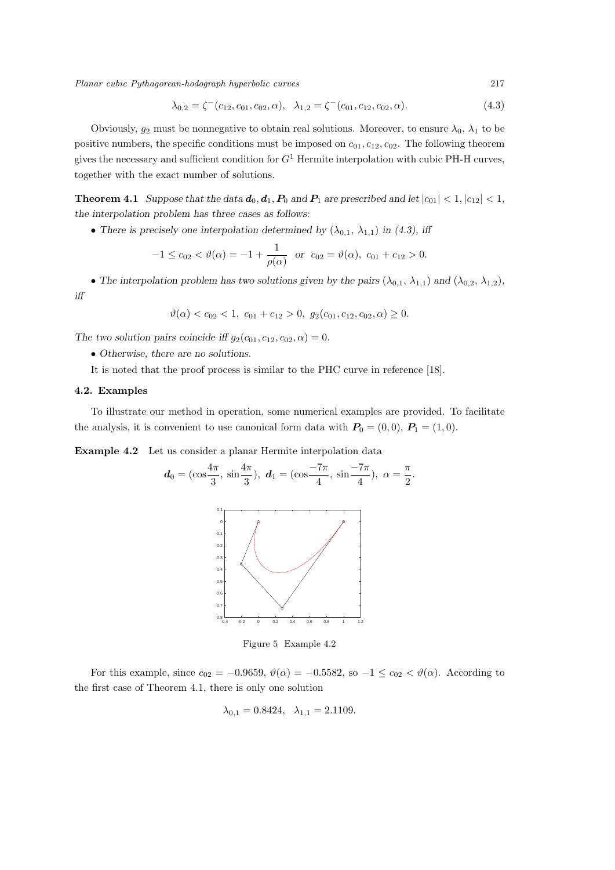*Planar cubic Pythagorean-hodograph hyperbolic curves* 217

$$
\lambda_{0,2} = \zeta^-(c_{12}, c_{01}, c_{02}, \alpha), \quad \lambda_{1,2} = \zeta^-(c_{01}, c_{12}, c_{02}, \alpha). \tag{4.3}
$$

Obviously,  $g_2$  must be nonnegative to obtain real solutions. Moreover, to ensure  $\lambda_0$ ,  $\lambda_1$  to be positive numbers, the specific conditions must be imposed on  $c_{01}, c_{12}, c_{02}$ . The following theorem gives the necessary and sufficient condition for *G*<sup>1</sup> Hermite interpolation with cubic PH-H curves, together with the exact number of solutions.

**Theorem 4.1** Suppose that the data  $d_0, d_1, P_0$  and  $P_1$  are prescribed and let  $|c_{01}| < 1$ ,  $|c_{12}| < 1$ , *the interpolation problem has three cases as follows:*

• There is precisely one interpolation determined by  $(\lambda_{0,1}, \lambda_{1,1})$  in (4.3), iff

$$
-1 \le c_{02} < \vartheta(\alpha) = -1 + \frac{1}{\rho(\alpha)} \quad \text{or} \quad c_{02} = \vartheta(\alpha), \quad c_{01} + c_{12} > 0.
$$

• The interpolation problem has two solutions given by the pairs  $(\lambda_{0,1}, \lambda_{1,1})$  and  $(\lambda_{0,2}, \lambda_{1,2})$ *, iff*

$$
\vartheta(\alpha) < c_{02} < 1, \ c_{01} + c_{12} > 0, \ g_2(c_{01}, c_{12}, c_{02}, \alpha) \ge 0.
$$

*The two solution pairs coincide iff*  $g_2(c_{01}, c_{12}, c_{02}, \alpha) = 0$ *.* 

- *• Otherwise, there are no solutions.*
- It is noted that the proof process is similar to the PHC curve in reference [18].

### **4.2. Examples**

To illustrate our method in operation, some numerical examples are provided. To facilitate the analysis, it is convenient to use canonical form data with  $P_0 = (0,0)$ ,  $P_1 = (1,0)$ .

**Example 4.2** Let us consider a planar Hermite interpolation data

$$
d_0 = (\cos \frac{4\pi}{3}, \sin \frac{4\pi}{3}), d_1 = (\cos \frac{-7\pi}{4}, \sin \frac{-7\pi}{4}), \alpha = \frac{\pi}{2}
$$

*.*



Figure 5 Example 4.2

For this example, since  $c_{02} = -0.9659$ ,  $\vartheta(\alpha) = -0.5582$ , so  $-1 \leq c_{02} < \vartheta(\alpha)$ . According to the first case of Theorem 4.1, there is only one solution

$$
\lambda_{0,1} = 0.8424, \quad \lambda_{1,1} = 2.1109.
$$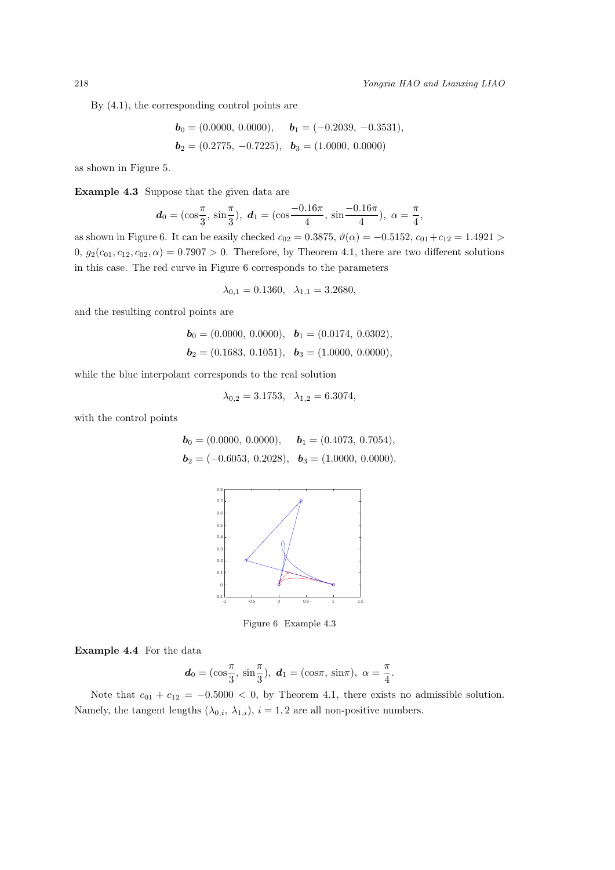By (4.1), the corresponding control points are

$$
\begin{aligned}\n\mathbf{b}_0 &= (0.0000, \ 0.0000), & \mathbf{b}_1 &= (-0.2039, \ -0.3531), \\
\mathbf{b}_2 &= (0.2775, \ -0.7225), & \mathbf{b}_3 &= (1.0000, \ 0.0000)\n\end{aligned}
$$

as shown in Figure 5.

**Example 4.3** Suppose that the given data are

$$
d_0 = (\cos\frac{\pi}{3}, \sin\frac{\pi}{3}), d_1 = (\cos\frac{-0.16\pi}{4}, \sin\frac{-0.16\pi}{4}), \alpha = \frac{\pi}{4},
$$

as shown in Figure 6. It can be easily checked  $c_{02} = 0.3875$ ,  $\vartheta(\alpha) = -0.5152$ ,  $c_{01} + c_{12} = 1.4921$  > 0,  $g_2(c_{01}, c_{12}, c_{02}, \alpha) = 0.7907 > 0$ . Therefore, by Theorem 4.1, there are two different solutions in this case. The red curve in Figure 6 corresponds to the parameters

$$
\lambda_{0,1} = 0.1360, \quad \lambda_{1,1} = 3.2680,
$$

and the resulting control points are

$$
\mathbf{b}_0 = (0.0000, 0.0000), \quad \mathbf{b}_1 = (0.0174, 0.0302),
$$
  
\n $\mathbf{b}_2 = (0.1683, 0.1051), \quad \mathbf{b}_3 = (1.0000, 0.0000),$ 

while the blue interpolant corresponds to the real solution

$$
\lambda_{0,2} = 3.1753, \quad \lambda_{1,2} = 6.3074,
$$

with the control points

$$
\mathbf{b}_0 = (0.0000, 0.0000), \quad \mathbf{b}_1 = (0.4073, 0.7054),
$$
  

$$
\mathbf{b}_2 = (-0.6053, 0.2028), \quad \mathbf{b}_3 = (1.0000, 0.0000).
$$



Figure 6 Example 4.3

**Example 4.4** For the data

$$
d_0 = (\cos \frac{\pi}{3}, \sin \frac{\pi}{3}), d_1 = (\cos \pi, \sin \pi), \ \alpha = \frac{\pi}{4}
$$

*.*

Note that  $c_{01} + c_{12} = -0.5000 < 0$ , by Theorem 4.1, there exists no admissible solution. Namely, the tangent lengths  $(\lambda_{0,i}, \lambda_{1,i}), i = 1, 2$  are all non-positive numbers.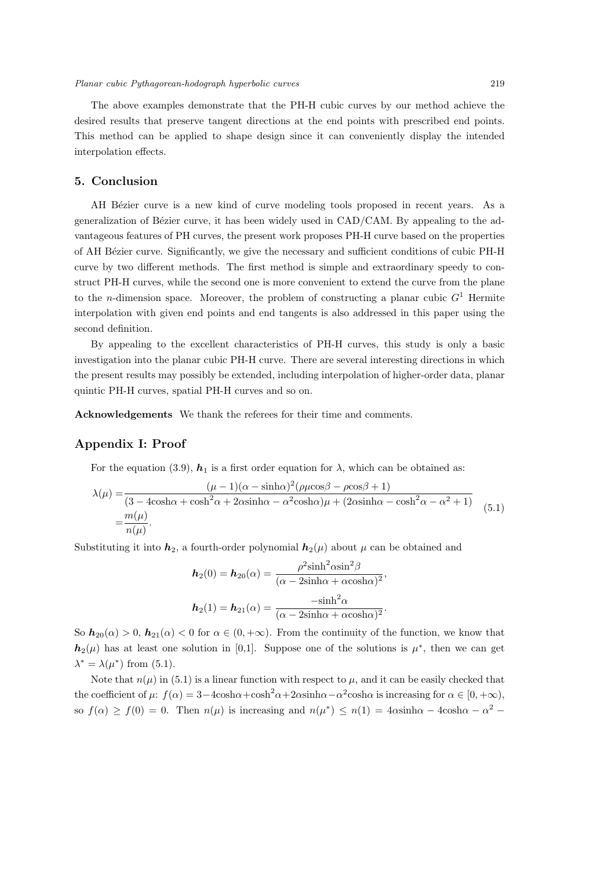The above examples demonstrate that the PH-H cubic curves by our method achieve the desired results that preserve tangent directions at the end points with prescribed end points. This method can be applied to shape design since it can conveniently display the intended interpolation effects.

### **5. Conclusion**

AH Bézier curve is a new kind of curve modeling tools proposed in recent years. As a generalization of Bézier curve, it has been widely used in  $CAD/CAM$ . By appealing to the advantageous features of PH curves, the present work proposes PH-H curve based on the properties of AH B´ezier curve. Significantly, we give the necessary and sufficient conditions of cubic PH-H curve by two different methods. The first method is simple and extraordinary speedy to construct PH-H curves, while the second one is more convenient to extend the curve from the plane to the *n*-dimension space. Moreover, the problem of constructing a planar cubic  $G<sup>1</sup>$  Hermite interpolation with given end points and end tangents is also addressed in this paper using the second definition.

By appealing to the excellent characteristics of PH-H curves, this study is only a basic investigation into the planar cubic PH-H curve. There are several interesting directions in which the present results may possibly be extended, including interpolation of higher-order data, planar quintic PH-H curves, spatial PH-H curves and so on.

**Acknowledgements** We thank the referees for their time and comments.

### **Appendix I: Proof**

For the equation (3.9),  $h_1$  is a first order equation for  $\lambda$ , which can be obtained as:

$$
\lambda(\mu) = \frac{(\mu - 1)(\alpha - \sinh\alpha)^2(\rho\mu\cos\beta - \rho\cos\beta + 1)}{(3 - 4\cosh\alpha + \cosh^2\alpha + 2\alpha\sinh\alpha - \alpha^2\cosh\alpha)\mu + (2\alpha\sinh\alpha - \cosh^2\alpha - \alpha^2 + 1)} = \frac{m(\mu)}{n(\mu)}.
$$
\n(5.1)

Substituting it into  $h_2$ , a fourth-order polynomial  $h_2(\mu)$  about  $\mu$  can be obtained and

$$
h_2(0) = h_{20}(\alpha) = \frac{\rho^2 \sinh^2 \alpha \sin^2 \beta}{(\alpha - 2 \sinh \alpha + \alpha \cosh \alpha)^2},
$$

$$
h_2(1) = h_{21}(\alpha) = \frac{-\sinh^2 \alpha}{(\alpha - 2 \sinh \alpha + \alpha \cosh \alpha)^2}.
$$

So  $h_{20}(\alpha) > 0$ ,  $h_{21}(\alpha) < 0$  for  $\alpha \in (0, +\infty)$ . From the continuity of the function, we know that  $h_2(\mu)$  has at least one solution in [0,1]. Suppose one of the solutions is  $\mu^*$ , then we can get  $\lambda^* = \lambda(\mu^*)$  from (5.1).

Note that  $n(\mu)$  in (5.1) is a linear function with respect to  $\mu$ , and it can be easily checked that the coefficient of  $\mu$ :  $f(\alpha) = 3 - 4\cosh\alpha + \cosh^2\alpha + 2\alpha\sinh\alpha - \alpha^2\cosh\alpha$  is increasing for  $\alpha \in [0, +\infty)$ , so  $f(\alpha) \ge f(0) = 0$ . Then  $n(\mu)$  is increasing and  $n(\mu^*) \le n(1) = 4\alpha \sinh \alpha - 4\alpha \sin \alpha - \alpha^2$